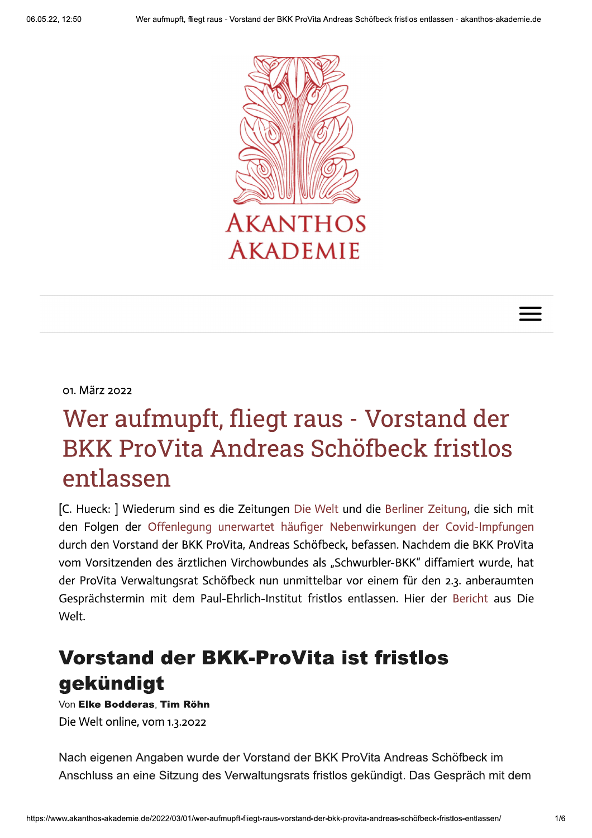



# Wer aufmupft, fliegt raus - Vorstand der **BKK ProVita Andreas Schöfbeck fristlos** entlassen

[C. Hueck: ] Wiederum sind es die Zeitungen Die Welt und die Berliner Zeitung, die sich mit den Folgen der Offenlegung unerwartet häufiger Nebenwirkungen der Covid-Impfungen durch den Vorstand der BKK ProVita, Andreas Schöfbeck, befassen. Nachdem die BKK ProVita vom Vorsitzenden des ärztlichen Virchowbundes als "Schwurbler-BKK" diffamiert wurde, hat der ProVita Verwaltungsrat Schöfbeck nun unmittelbar vor einem für den 2.3. anberaumten Gesprächstermin mit dem Paul-Ehrlich-Institut fristlos entlassen. Hier der Bericht aus Die Welt.

## **Vorstand der BKK-ProVita ist fristlos** gekündigt

Von Elke Bodderas. Tim Röhn Die Welt online, vom 1.3.2022

Nach eigenen Angaben wurde der Vorstand der BKK ProVita Andreas Schöfbeck im Anschluss an eine Sitzung des Verwaltungsrats fristlos gekündigt. Das Gespräch mit dem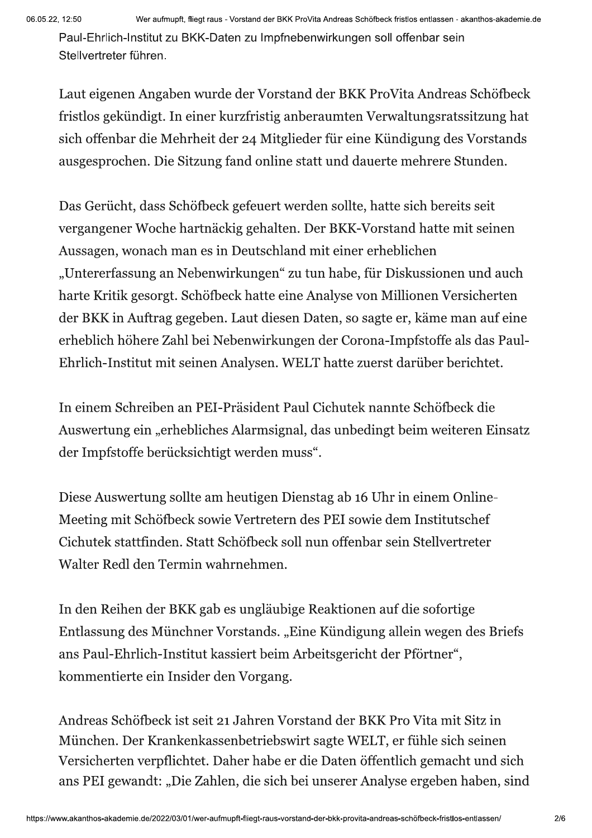Paul-Ehrlich-Institut zu BKK-Daten zu Impfnebenwirkungen soll offenbar sein Stellvertreter funren.

Laut eigenen Angaben wurde der Vorstand der BKK ProVita Andreas Schöfbeck fristlos gekündigt. In einer kurzfristig anberaumten Verwaltungsratssitzung hat sich offenbar die Mehrheit der 24 Mitglieder für eine Kündigung des Vorstands ausgesprochen. Die Sitzung fand online statt und dauerte mehrere Stunden.

Das Gerücht, dass Schöfbeck gefeuert werden sollte, hatte sich bereits seit vergangener Woche hartnäckig gehalten. Der BKK-Vorstand hatte mit seinen Aussagen, wonach man es in Deutschland mit einer erheblichen "Untererfassung an Nebenwirkungen" zu tun habe, für Diskussionen und auch harte Kritik gesorgt. Schöfbeck hatte eine Analyse von Millionen Versicherten der BKK in Auftrag gegeben. Laut diesen Daten, so sagte er, käme man auf eine erheblich höhere Zahl bei Nebenwirkungen der Corona-Impfstoffe als das Paul-Ehrlich-Institut mit seinen Analysen. WELT hatte zuerst darüber berichtet.

In einem Schreiben an PEI-Präsident Paul Cichutek nannte Schöfbeck die Auswertung ein "erhebliches Alarmsignal, das unbedingt beim weiteren Einsatz der Impfstoffe berücksichtigt werden muss".

Diese Auswertung sollte am heutigen Dienstag ab 16 Uhr in einem Online-Meeting mit Schöfbeck sowie Vertretern des PEI sowie dem Institutschef Cichutek stattfinden. Statt Schöfbeck soll nun offenbar sein Stellvertreter Walter Redl den Termin wahrnehmen.

In den Reihen der BKK gab es ungläubige Reaktionen auf die sofortige Entlassung des Münchner Vorstands. "Eine Kündigung allein wegen des Briefs ans Paul-Ehrlich-Institut kassiert beim Arbeitsgericht der Pförtner", kommentierte ein Insider den Vorgang.

herten verpflichtet. Daher l<br>EI gewandt: "Die Zahlen, die<br>s-akademie.de/2022/03/01/wer-aufmupft-flieg Andreas Schöfbeck ist seit 21 Jahren Vorstand der BKK Pro Vita mit Sitz in München. Der Krankenkassenbetriebswirt sagte WELT, er fühle sich seinen Versicherten verpflichtet. Daher habe er die Daten öffentlich gemacht und sich ans PEI gewandt: "Die Zahlen, die sich bei unserer Analyse ergeben haben, sind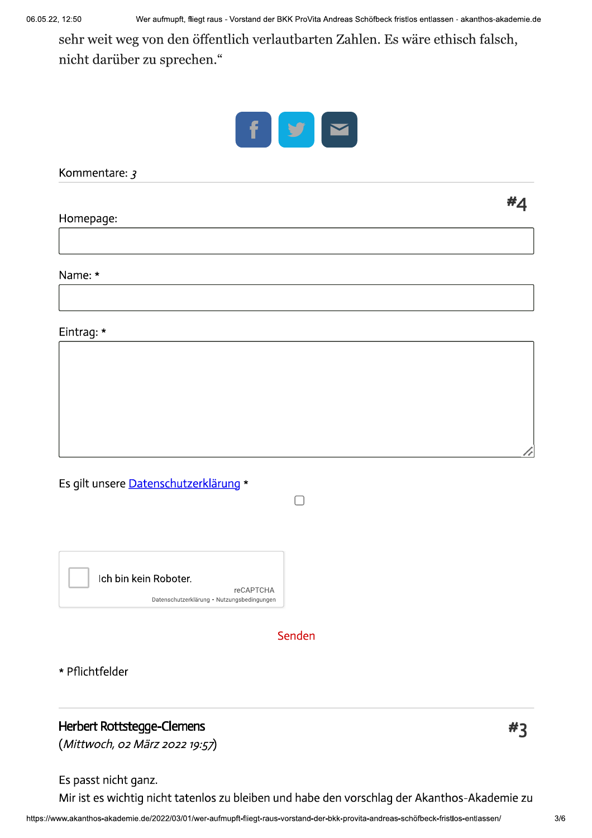sehr weit weg von den öffentlich verlautbarten Zahlen. Es wäre ethisch falsch, nicht darüber zu sprechen."



Kommentare: 3

Homepage:

Name: \*

Eintrag: \*

Es gilt unsere Datenschutzerklärung \*



Senden

 $\Box$ 

\* Pflichtfelder

### **Herbert Rottstegge-Clemens**

(Mittwoch, 02 März 2022 19:57)

Es passt nicht ganz.

Mir ist es wichtig nicht tatenlos zu bleiben und habe den vorschlag der Akanthos-Akademie zu

 $#3$ 

#4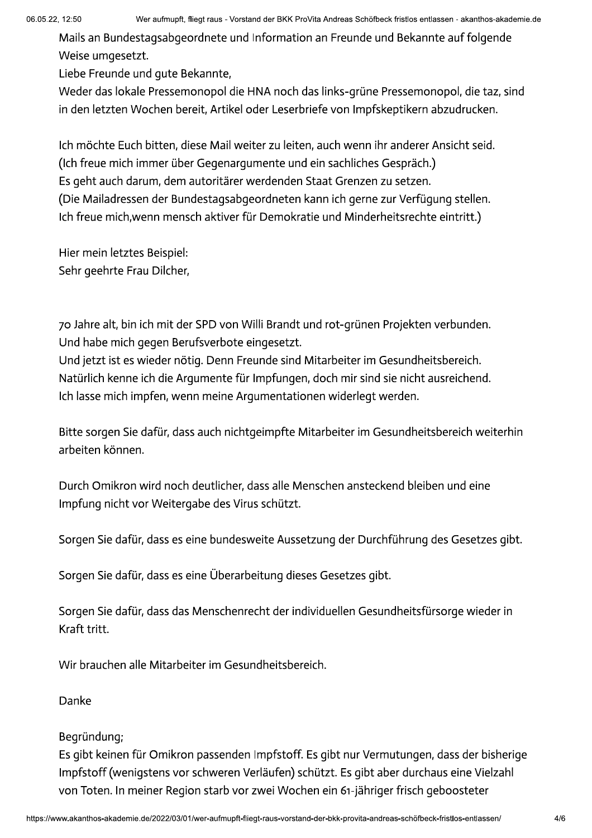Mails an Bundestagsabgeordnete und Information an Freunde und Bekannte auf folgende Weise umgesetzt.

Liebe Freunde und qute Bekannte,

Weder das lokale Pressemonopol die HNA noch das links-grüne Pressemonopol, die taz, sind in den letzten Wochen bereit, Artikel oder Leserbriefe von Impfskeptikern abzudrucken.

Ich möchte Euch bitten, diese Mail weiter zu leiten, auch wenn ihr anderer Ansicht seid. (Ich freue mich immer über Gegenargumente und ein sachliches Gespräch.) Es geht auch darum, dem autoritärer werdenden Staat Grenzen zu setzen. (Die Mailadressen der Bundestagsabgeordneten kann ich gerne zur Verfügung stellen. Ich freue mich, wenn mensch aktiver für Demokratie und Minderheitsrechte eintritt.)

Hier mein letztes Beispiel: Sehr geehrte Frau Dilcher,

70 Jahre alt, bin ich mit der SPD von Willi Brandt und rot-grünen Projekten verbunden. Und habe mich gegen Berufsverbote eingesetzt. Und jetzt ist es wieder nötig. Denn Freunde sind Mitarbeiter im Gesundheitsbereich.

Natürlich kenne ich die Argumente für Impfungen, doch mir sind sie nicht ausreichend. Ich lasse mich impfen, wenn meine Argumentationen widerlegt werden.

Bitte sorgen Sie dafür, dass auch nichtgeimpfte Mitarbeiter im Gesundheitsbereich weiterhin arbeiten können.

Durch Omikron wird noch deutlicher, dass alle Menschen ansteckend bleiben und eine Impfung nicht vor Weitergabe des Virus schützt.

Sorgen Sie dafür, dass es eine bundesweite Aussetzung der Durchführung des Gesetzes gibt.

Sorgen Sie dafür, dass es eine Überarbeitung dieses Gesetzes gibt.

Sorgen Sie dafür, dass das Menschenrecht der individuellen Gesundheitsfürsorge wieder in Kraft tritt.

Wir brauchen alle Mitarbeiter im Gesundheitsbereich.

Danke

### Begründung;

Es gibt keinen für Omikron passenden Impfstoff. Es gibt nur Vermutungen, dass der bisherige Impfstoff (wenigstens vor schweren Verläufen) schützt. Es gibt aber durchaus eine Vielzahl von Toten. In meiner Region starb vor zwei Wochen ein 61-jähriger frisch geboosteter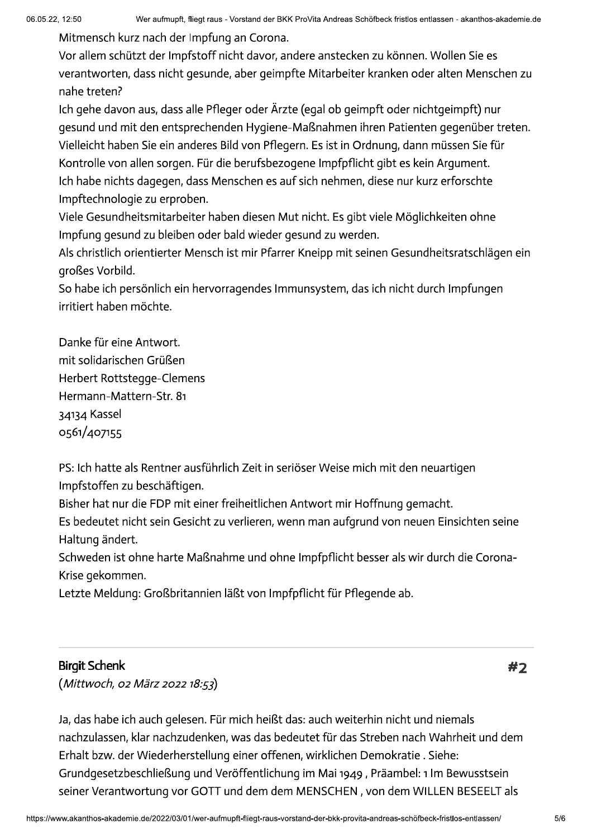Mitmensch kurz nach der Impfung an Corona.

Vor allem schützt der Impfstoff nicht davor, andere anstecken zu können. Wollen Sie es verantworten, dass nicht gesunde, aber geimpfte Mitarbeiter kranken oder alten Menschen zu nahe treten?

Ich gehe davon aus, dass alle Pfleger oder Ärzte (egal ob geimpft oder nichtgeimpft) nur gesund und mit den entsprechenden Hygiene-Maßnahmen ihren Patienten gegenüber treten. Vielleicht haben Sie ein anderes Bild von Pflegern. Es ist in Ordnung, dann müssen Sie für Kontrolle von allen sorgen. Für die berufsbezogene Impfpflicht gibt es kein Argument. Ich habe nichts dagegen, dass Menschen es auf sich nehmen, diese nur kurz erforschte Impftechnologie zu erproben.

Viele Gesundheitsmitarbeiter haben diesen Mut nicht. Es gibt viele Möglichkeiten ohne Impfung gesund zu bleiben oder bald wieder gesund zu werden.

Als christlich orientierter Mensch ist mir Pfarrer Kneipp mit seinen Gesundheitsratschlägen ein großes Vorbild.

So habe ich persönlich ein hervorragendes Immunsystem, das ich nicht durch Impfungen irritiert haben möchte.

Danke für eine Antwort. mit solidarischen Grüßen Herbert Rottstegge-Clemens Hermann-Mattern-Str. 81 34134 Kassel 0561/407155

PS: Ich hatte als Rentner ausführlich Zeit in seriöser Weise mich mit den neuartigen Impfstoffen zu beschäftigen.

Bisher hat nur die FDP mit einer freiheitlichen Antwort mir Hoffnung gemacht.

Es bedeutet nicht sein Gesicht zu verlieren, wenn man aufgrund von neuen Einsichten seine Haltung ändert.

Schweden ist ohne harte Maßnahme und ohne Impfpflicht besser als wir durch die Corona-Krise gekommen.

Letzte Meldung: Großbritannien läßt von Impfpflicht für Pflegende ab.

### **Birgit Schenk**

(Mittwoch, 02 März 2022 18:53)

#2

Ja, das habe ich auch gelesen. Für mich heißt das: auch weiterhin nicht und niemals nachzulassen, klar nachzudenken, was das bedeutet für das Streben nach Wahrheit und dem Erhalt bzw. der Wiederherstellung einer offenen, wirklichen Demokratie. Siehe: Grundgesetzbeschließung und Veröffentlichung im Mai 1949, Präambel: 1 Im Bewusstsein seiner Verantwortung vor GOTT und dem dem MENSCHEN, von dem WILLEN BESEELT als